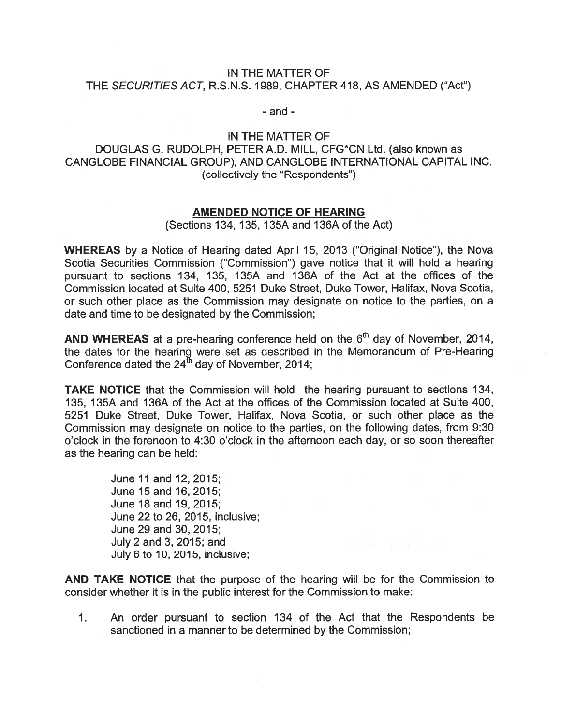## IN THE MATTER OF THE SECURITIES ACT, R.S.N.S. 1989, CHAPTER 418, AS AMENDED ('Act")

- and -

## IN THE MATTER OF DOUGLAS G. RUDOLPH, PETER A.D. MILL, CFG\*CN Ltd. (also known as CANGLOBE FINANCIAL GROUP), AND CANGLOBE INTERNATIONAL CAPITAL INC. (collectively the "Respondents")

## AMENDED NOTICE OF HEARING

(Sections 134, 135, 135A and 136A of the Act)

WHEREAS by <sup>a</sup> Notice of Hearing dated April 15, 2013 ("Original Notice"), the Nova Scotia Securities Commission ("Commission") gave notice that it will hold <sup>a</sup> hearing pursuan<sup>t</sup> to sections 134, 135, 135A and 136A of the Act at the offices of the Commission located at Suite 400, 5251 Duke Street, Duke Tower, Halifax, Nova Scotia, or such other place as the Commission may designate on notice to the parties, on <sup>a</sup> date and time to be designated by the Commission;

AND WHEREAS at a pre-hearing conference held on the  $6<sup>th</sup>$  day of November, 2014, the dates for the hearing were set as described in the Memorandum of Pre-Hearing Conference dated the  $24^{\text{th}}$  day of November, 2014;

TAKE NOTICE that the Commission will hold the hearing pursuan<sup>t</sup> to sections 134, 135, 135A and 136A of the Act at the offices of the Commission located at Suite 400, 5251 Duke Street, Duke Tower, Halifax, Nova Scotia, or such other place as the Commission may designate on notice to the parties, on the following dates, from 9:30 <sup>o</sup>'clock in the forenoon to 4:30 <sup>o</sup>'clock in the afternoon each day, or so soon thereafter as the hearing can be held:

> June11 and 12, 2015; June 15 and 16, 2015; June 18 and 19, 2015; June22 to 26, 2015, inclusive; June 29 and 30, 2015; July 2 and 3, 2015; and July 6 to 10, 2015, inclusive;

AND TAKE NOTICE that the purpose of the hearing will be for the Commission to consider whether it is in the public interest for the Commission to make:

1. An order pursuan<sup>t</sup> to section 134 of the Act that the Respondents be sanctioned in <sup>a</sup> manner to be determined by the Commission;